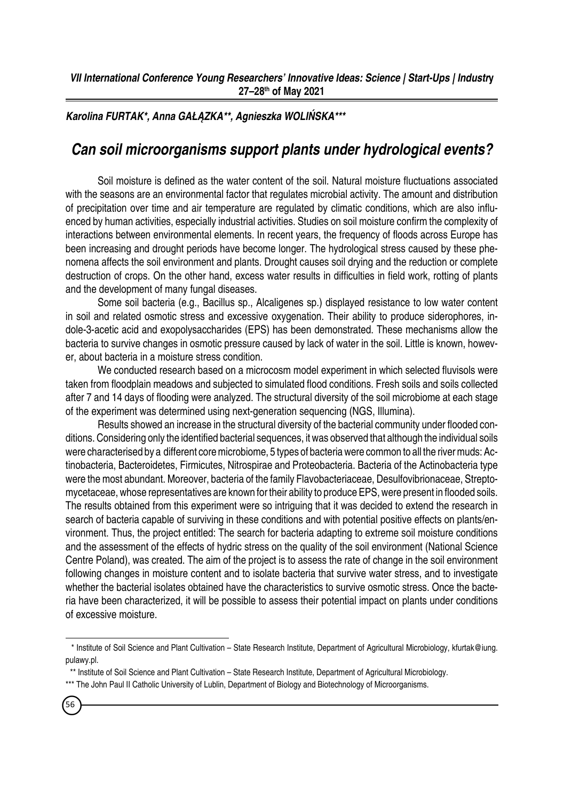*Karolina Furtak\*, Anna* **Gałązka***\*\****, Agnieszka Wolińska***\*\*\**

## *Can soil microorganisms support plants under hydrological events?*

Soil moisture is defined as the water content of the soil. Natural moisture fluctuations associated with the seasons are an environmental factor that regulates microbial activity. The amount and distribution of precipitation over time and air temperature are regulated by climatic conditions, which are also influenced by human activities, especially industrial activities. Studies on soil moisture confirm the complexity of interactions between environmental elements. In recent years, the frequency of floods across Europe has been increasing and drought periods have become longer. The hydrological stress caused by these phenomena affects the soil environment and plants. Drought causes soil drying and the reduction or complete destruction of crops. On the other hand, excess water results in difficulties in field work, rotting of plants and the development of many fungal diseases.

Some soil bacteria (e.g., Bacillus sp., Alcaligenes sp.) displayed resistance to low water content in soil and related osmotic stress and excessive oxygenation. Their ability to produce siderophores, indole-3-acetic acid and exopolysaccharides (EPS) has been demonstrated. These mechanisms allow the bacteria to survive changes in osmotic pressure caused by lack of water in the soil. Little is known, however, about bacteria in a moisture stress condition.

We conducted research based on a microcosm model experiment in which selected fluvisols were taken from floodplain meadows and subjected to simulated flood conditions. Fresh soils and soils collected after 7 and 14 days of flooding were analyzed. The structural diversity of the soil microbiome at each stage of the experiment was determined using next-generation sequencing (NGS, Illumina).

Results showed an increase in the structural diversity of the bacterial community under flooded conditions. Considering only the identified bacterial sequences, it was observed that although the individual soils were characterised by a different core microbiome, 5 types of bacteria were common to all the river muds: Actinobacteria, Bacteroidetes, Firmicutes, Nitrospirae and Proteobacteria. Bacteria of the Actinobacteria type were the most abundant. Moreover, bacteria of the family Flavobacteriaceae, Desulfovibrionaceae, Streptomycetaceae, whose representatives are known for their ability to produce EPS, were present in flooded soils. The results obtained from this experiment were so intriguing that it was decided to extend the research in search of bacteria capable of surviving in these conditions and with potential positive effects on plants/environment. Thus, the project entitled: The search for bacteria adapting to extreme soil moisture conditions and the assessment of the effects of hydric stress on the quality of the soil environment (National Science Centre Poland), was created. The aim of the project is to assess the rate of change in the soil environment following changes in moisture content and to isolate bacteria that survive water stress, and to investigate whether the bacterial isolates obtained have the characteristics to survive osmotic stress. Once the bacteria have been characterized, it will be possible to assess their potential impact on plants under conditions of excessive moisture.

 <sup>\*</sup> Institute of Soil Science and Plant Cultivation – State Research Institute, Department of Agricultural Microbiology, kfurtak@iung. pulawy.pl.

<sup>\*\*</sup> Institute of Soil Science and Plant Cultivation – State Research Institute, Department of Agricultural Microbiology.

<sup>\*\*\*</sup> The John Paul II Catholic University of Lublin, Department of Biology and Biotechnology of Microorganisms.